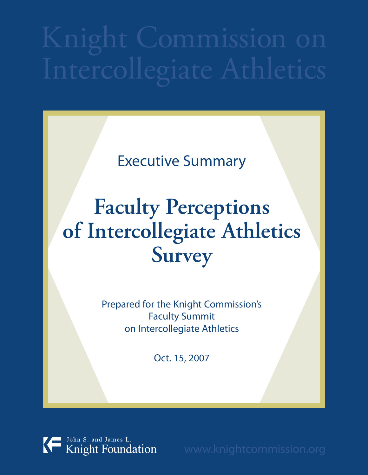Executive Summary

# **Faculty Perceptions of Intercollegiate Athletics Survey**

Prepared for the Knight Commission's Faculty Summit on Intercollegiate Athletics

Oct. 15, 2007

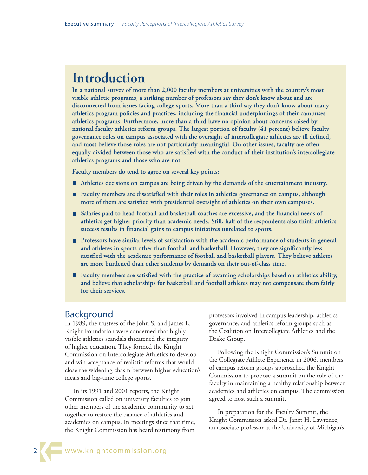# **Introduction**

**In a national survey of more than 2,000 faculty members at universities with the country's most visible athletic programs, a striking number of professors say they don't know about and are disconnected from issues facing college sports. More than a third say they don't know about many athletics program policies and practices, including the financial underpinnings of their campuses' athletics programs. Furthermore, more than a third have no opinion about concerns raised by national faculty athletics reform groups. The largest portion of faculty (41 percent) believe faculty governance roles on campus associated with the oversight of intercollegiate athletics are ill defined, and most believe those roles are not particularly meaningful. On other issues, faculty are often equally divided between those who are satisfied with the conduct of their institution's intercollegiate athletics programs and those who are not.**

**Faculty members do tend to agree on several key points:**

- **Athletics decisions on campus are being driven by the demands of the entertainment industry.**
- **Faculty members are dissatisfied with their roles in athletics governance on campus, although more of them are satisfied with presidential oversight of athletics on their own campuses.**
- **Salaries paid to head football and basketball coaches are excessive, and the financial needs of athletics get higher priority than academic needs. Still, half of the respondents also think athletics success results in financial gains to campus initiatives unrelated to sports.**
- **Professors have similar levels of satisfaction with the academic performance of students in general and athletes in sports other than football and basketball. However, they are significantly less satisfied with the academic performance of football and basketball players. They believe athletes are more burdened than other students by demands on their out-of-class time.**
- **Faculty members are satisfied with the practice of awarding scholarships based on athletics ability, and believe that scholarships for basketball and football athletes may not compensate them fairly for their services.**

### Background

In 1989, the trustees of the John S. and James L. Knight Foundation were concerned that highly visible athletics scandals threatened the integrity of higher education. They formed the Knight Commission on Intercollegiate Athletics to develop and win acceptance of realistic reforms that would close the widening chasm between higher education's ideals and big-time college sports.

In its 1991 and 2001 reports, the Knight Commission called on university faculties to join other members of the academic community to act together to restore the balance of athletics and academics on campus. In meetings since that time, the Knight Commission has heard testimony from

professors involved in campus leadership, athletics governance, and athletics reform groups such as the Coalition on Intercollegiate Athletics and the Drake Group.

Following the Knight Commission's Summit on the Collegiate Athlete Experience in 2006, members of campus reform groups approached the Knight Commission to propose a summit on the role of the faculty in maintaining a healthy relationship between academics and athletics on campus. The commission agreed to host such a summit.

In preparation for the Faculty Summit, the Knight Commission asked Dr. Janet H. Lawrence, an associate professor at the University of Michigan's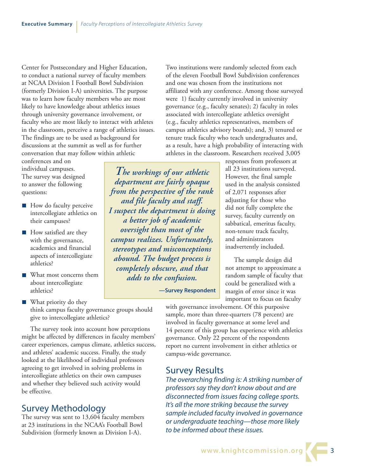Center for Postsecondary and Higher Education, to conduct a national survey of faculty members at NCAA Division I Football Bowl Subdivision (formerly Division I-A) universities. The purpose was to learn how faculty members who are most likely to have knowledge about athletics issues through university governance involvement, or faculty who are most likely to interact with athletes in the classroom, perceive a range of athletics issues. The findings are to be used as background for discussions at the summit as well as for further conversation that may follow within athletic

conferences and on individual campuses. The survey was designed to answer the following questions:

- How do faculty perceive intercollegiate athletics on their campuses?
- **How satisfied are they** with the governance, academics and financial aspects of intercollegiate athletics?
- What most concerns them about intercollegiate athletics?
- What priority do they think campus faculty governance groups should give to intercollegiate athletics?

The survey took into account how perceptions might be affected by differences in faculty members' career experiences, campus climate, athletics success, and athletes' academic success. Finally, the study looked at the likelihood of individual professors agreeing to get involved in solving problems in intercollegiate athletics on their own campuses and whether they believed such activity would be effective.

### Survey Methodology

The survey was sent to 13,604 faculty members at 23 institutions in the NCAA's Football Bowl Subdivision (formerly known as Division I-A).

Two institutions were randomly selected from each of the eleven Football Bowl Subdivision conferences and one was chosen from the institutions not affiliated with any conference. Among those surveyed were 1) faculty currently involved in university governance (e.g., faculty senates); 2) faculty in roles associated with intercollegiate athletics oversight (e.g., faculty athletics representatives, members of campus athletics advisory boards); and, 3) tenured or tenure track faculty who teach undergraduates and, as a result, have a high probability of interacting with athletes in the classroom. Researchers received 3,005

responses from professors at all 23 institutions surveyed. However, the final sample used in the analysis consisted of 2,071 responses after adjusting for those who did not fully complete the survey, faculty currently on sabbatical, emeritus faculty, non-tenure track faculty, and administrators inadvertently included. *The workings of our athletic department are fairly opaque from the perspective of the rank and file faculty and staff. I suspect the department is doing a better job of academic oversight than most of the campus realizes. Unfortunately, stereotypes and misconceptions abound. The budget process is*

The sample design did not attempt to approximate a random sample of faculty that could be generalized with a margin of error since it was important to focus on faculty

with governance involvement. Of this purposive sample, more than three-quarters (78 percent) are involved in faculty governance at some level and 14 percent of this group has experience with athletics governance. Only 22 percent of the respondents report no current involvement in either athletics or campus-wide governance.

#### Survey Results

**—Survey Respondent**

*completely obscure, and that adds to the confusion.*

> The overarching finding is: A striking number of professors say they don't know about and are disconnected from issues facing college sports. It's all the more striking because the survey sample included faculty involved in governance or undergraduate teaching—those more likely to be informed about these issues.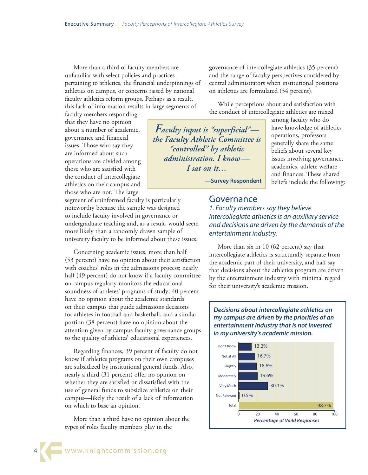More than a third of faculty members are unfamiliar with select policies and practices pertaining to athletics, the financial underpinnings of athletics on campus, or concerns raised by national faculty athletics reform groups. Perhaps as a result, this lack of information results in large segments of

faculty members responding that they have no opinion about a number of academic, governance and financial issues. Those who say they are informed about such operations are divided among those who are satisfied with the conduct of intercollegiate athletics on their campus and those who are not. The large

segment of uninformed faculty is particularly noteworthy because the sample was designed to include faculty involved in governance or undergraduate teaching and, as a result, would seem more likely than a randomly drawn sample of university faculty to be informed about these issues.

Concerning academic issues, more than half (53 percent) have no opinion about their satisfaction with coaches' roles in the admissions process; nearly half (49 percent) do not know if a faculty committee on campus regularly monitors the educational soundness of athletes' programs of study; 40 percent have no opinion about the academic standards on their campus that guide admissions decisions for athletes in football and basketball, and a similar portion (38 percent) have no opinion about the attention given by campus faculty governance groups to the quality of athletes' educational experiences.

Regarding finances, 39 percent of faculty do not know if athletics programs on their own campuses are subsidized by institutional general funds. Also, nearly a third (31 percent) offer no opinion on whether they are satisfied or dissatisfied with the use of general funds to subsidize athletics on their campus—likely the result of a lack of information on which to base an opinion.

More than a third have no opinion about the types of roles faculty members play in the

governance of intercollegiate athletics (35 percent) and the range of faculty perspectives considered by central administrators when institutional positions on athletics are formulated (34 percent).

While perceptions about and satisfaction with the conduct of intercollegiate athletics are mixed

*Faculty input is "superficial" the Faculty Athletic Committee is "controlled" by athletic administration. I know — I sat on it…*

have knowledge of athletics operations, professors generally share the same beliefs about several key issues involving governance, academics, athlete welfare and finances. These shared beliefs include the following:

among faculty who do

**—Survey Respondent**

#### Governance

1. Faculty members say they believe intercollegiate athletics is an auxiliary service and decisions are driven by the demands of the entertainment industry.

More than six in 10 (62 percent) say that intercollegiate athletics is structurally separate from the academic part of their university, and half say that decisions about the athletics program are driven by the entertainment industry with minimal regard for their university's academic mission.

**Decisions about intercollegiate athletics on my campus are driven by the priorities of an entertainment industry that is not invested in my university's academic mission.**

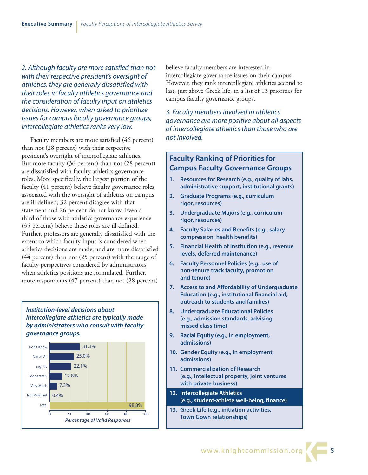2. Although faculty are more satisfied than not with their respective president's oversight of athletics, they are generally dissatisfied with their roles in faculty athletics governance and the consideration of faculty input on athletics decisions. However, when asked to prioritize issues for campus faculty governance groups, intercollegiate athletics ranks very low.

Faculty members are more satisfied (46 percent) than not (28 percent) with their respective president's oversight of intercollegiate athletics. But more faculty (36 percent) than not (28 percent) are dissatisfied with faculty athletics governance roles. More specifically, the largest portion of the faculty (41 percent) believe faculty governance roles associated with the oversight of athletics on campus are ill defined; 32 percent disagree with that statement and 26 percent do not know. Even a third of those with athletics governance experience time of those with atmetics governance experi-<br>(35 percent) believe these roles are ill defined. Further, professors are generally dissatisfied with the extent to which faculty input is considered when athletics decisions are made, and are more dissatisfied (44 percent) than not (25 percent) with the range of faculty perspectives considered by administrators when athletics positions are formulated. Further, more respondents (47 percent) than not (28 percent) fied with faculty athletics governance<br>e specifically, the largest portion of the<br>percent) believe faculty governance rol<br>with the oversight of athletics on camp<br>ned; 32 percent disagree with that<br>and 26 percent do not kno *Percentage of Percentage of Percent disagree vith this* percent disagree with this percent do not know. Event disagree with this percent do not know. Event disagree with this percent do not know. Event as are meanily

**Institution-level decisions about intercollegiate athletics are typically made by administrators who consult with faculty governance groups.**



believe faculty members are interested in intercollegiate governance issues on their campus. However, they rank intercollegiate athletics second to last, just above Greek life, in a list of 13 priorities for campus faculty governance groups.

3. Faculty members involved in athletics governance are more positive about all aspects of intercollegiate athletics than those who are not involved.

#### **Faculty Ranking of Priorities for Campus Faculty Governance Groups**

- **1. Resources for Research (e.g., quality of labs, administrative support, institutional grants)**
- **2. Graduate Programs (e.g., curriculum rigor, resources)**
- **3. Undergraduate Majors (e.g., curriculum rigor, resources)**
- **4. Faculty Salaries and Benefits (e.g., salary compression, health benefits)**
- **5. Financial Health of Institution (e.g., revenue levels, deferred maintenance)**
- **6. Faculty Personnel Policies (e.g., use of non-tenure track faculty, promotion and tenure)**
- **7. Access to and Affordability of Undergraduate Education (e.g., institutional financial aid, outreach to students and families)**
- **8. Undergraduate Educational Policies (e.g., admission standards, advising, missed class time)**
- **9. Racial Equity (e.g., in employment, admissions)**
- **10. Gender Equity (e.g., in employment, admissions)**
- **11. Commercialization of Research (e.g., intellectual property, joint ventures with private business)**
- **12. Intercollegiate Athletics (e.g., student-athlete well-being, finance)**
- **13. Greek Life (e.g., initiation activities, Town Gown relationships)**

www.knightcommission.org 5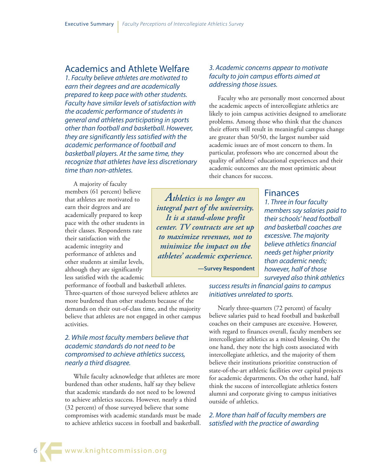#### Academics and Athlete Welfare

1. Faculty believe athletes are motivated to earn their degrees and are academically prepared to keep pace with other students. Faculty have similar levels of satisfaction with the academic performance of students in general and athletes participating in sports other than football and basketball. However, they are significantly less satisfied with the academic performance of football and basketball players. At the same time, they recognize that athletes have less discretionary time than non-athletes.

A majority of faculty members (61 percent) believe that athletes are motivated to earn their degrees and are academically prepared to keep pace with the other students in their classes. Respondents rate their satisfaction with the academic integrity and performance of athletes and other students at similar levels, although they are significantly less satisfied with the academic

performance of football and basketball athletes. Three-quarters of those surveyed believe athletes are more burdened than other students because of the demands on their out-of-class time, and the majority believe that athletes are not engaged in other campus activities.

#### 2. While most faculty members believe that academic standards do not need to be compromised to achieve athletics success, nearly a third disagree.

While faculty acknowledge that athletes are more burdened than other students, half say they believe that academic standards do not need to be lowered to achieve athletics success. However, nearly a third (32 percent) of those surveyed believe that some compromises with academic standards must be made to achieve athletics success in football and basketball.

#### 3. Academic concerns appear to motivate faculty to join campus efforts aimed at addressing those issues.

Faculty who are personally most concerned about the academic aspects of intercollegiate athletics are likely to join campus activities designed to ameliorate problems. Among those who think that the chances their efforts will result in meaningful campus change are greater than 50/50, the largest number said academic issues are of most concern to them. In particular, professors who are concerned about the quality of athletes' educational experiences and their academic outcomes are the most optimistic about their chances for success.

*Athletics is no longer an integral part of the university. It is a stand-alone profit center. TV contracts are set up to maximize revenues, not to minimize the impact on the athletes' academic experience.*

#### Finances

1. Three in four faculty members say salaries paid to their schools' head football and basketball coaches are excessive. The majority believe athletics financial needs get higher priority than academic needs; however, half of those surveyed also think athletics

**—Survey Respondent**

success results in financial gains to campus initiatives unrelated to sports.

Nearly three-quarters (72 percent) of faculty believe salaries paid to head football and basketball coaches on their campuses are excessive. However, with regard to finances overall, faculty members see intercollegiate athletics as a mixed blessing. On the one hand, they note the high costs associated with intercollegiate athletics, and the majority of them believe their institutions prioritize construction of state-of-the-art athletic facilities over capital projects for academic departments. On the other hand, half think the success of intercollegiate athletics fosters alumni and corporate giving to campus initiatives outside of athletics.

2. More than half of faculty members are satisfied with the practice of awarding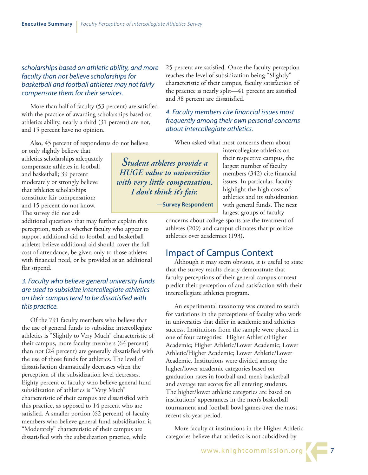#### scholarships based on athletic ability, and more faculty than not believe scholarships for basketball and football athletes may not fairly compensate them for their services.

More than half of faculty (53 percent) are satisfied with the practice of awarding scholarships based on athletics ability, nearly a third (31 percent) are not, and 15 percent have no opinion.

Also, 45 percent of respondents do not believe

or only slightly believe that athletics scholarships adequately compensate athletes in football and basketball; 39 percent moderately or strongly believe that athletics scholarships constitute fair compensation; and 15 percent do not know. The survey did not ask

additional questions that may further explain this perception, such as whether faculty who appear to support additional aid to football and basketball athletes believe additional aid should cover the full cost of attendance, be given only to those athletes with financial need, or be provided as an additional flat stipend.

#### 3. Faculty who believe general university funds are used to subsidize intercollegiate athletics on their campus tend to be dissatisfied with this practice.

Of the 791 faculty members who believe that the use of general funds to subsidize intercollegiate athletics is "Slightly to Very Much" characteristic of their campus, more faculty members (64 percent) than not (24 percent) are generally dissatisfied with the use of those funds for athletics. The level of dissatisfaction dramatically decreases when the perception of the subsidization level decreases. Eighty percent of faculty who believe general fund subsidization of athletics is "Very Much" characteristic of their campus are dissatisfied with this practice, as opposed to 14 percent who are satisfied. A smaller portion (62 percent) of faculty members who believe general fund subsidization is "Moderately" characteristic of their campus are dissatisfied with the subsidization practice, while

25 percent are satisfied. Once the faculty perception reaches the level of subsidization being "Slightly" characteristic of their campus, faculty satisfaction of the practice is nearly split—41 percent are satisfied and 38 percent are dissatisfied.

#### 4. Faculty members cite financial issues most frequently among their own personal concerns about intercollegiate athletics.

When asked what most concerns them about

*Student athletes provide a HUGE value to universities with very little compensation. I don't think it's fair.*

**—Survey Respondent**

intercollegiate athletics on their respective campus, the largest number of faculty members (342) cite financial issues. In particular, faculty highlight the high costs of athletics and its subsidization with general funds. The next largest groups of faculty

concerns about college sports are the treatment of athletes (209) and campus climates that prioritize athletics over academics (193).

#### Impact of Campus Context

Although it may seem obvious, it is useful to state that the survey results clearly demonstrate that faculty perceptions of their general campus context predict their perception of and satisfaction with their intercollegiate athletics program.

An experimental taxonomy was created to search for variations in the perceptions of faculty who work in universities that differ in academic and athletics success. Institutions from the sample were placed in one of four categories: Higher Athletic/Higher Academic; Higher Athletic/Lower Academic; Lower Athletic/Higher Academic; Lower Athletic/Lower Academic. Institutions were divided among the higher/lower academic categories based on graduation rates in football and men's basketball and average test scores for all entering students. The higher/lower athletic categories are based on institutions' appearances in the men's basketball tournament and football bowl games over the most recent six-year period.

More faculty at institutions in the Higher Athletic categories believe that athletics is not subsidized by